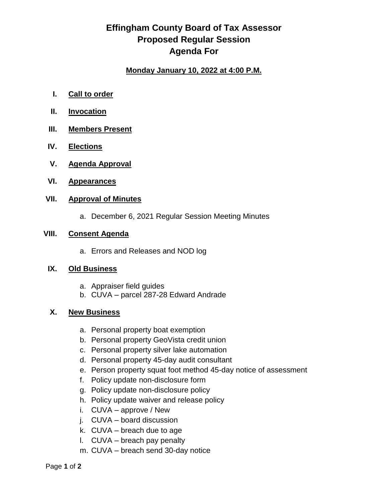# **Effingham County Board of Tax Assessor Proposed Regular Session Agenda For**

# **Monday January 10, 2022 at 4:00 P.M.**

- **I. Call to order**
- **II. Invocation**
- **III. Members Present**
- **IV. Elections**
- **V. Agenda Approval**
- **VI. Appearances**

### **VII. Approval of Minutes**

a. December 6, 2021 Regular Session Meeting Minutes

## **VIII. Consent Agenda**

a. Errors and Releases and NOD log

### **IX. Old Business**

- a. Appraiser field guides
- b. CUVA parcel 287-28 Edward Andrade

### **X. New Business**

- a. Personal property boat exemption
- b. Personal property GeoVista credit union
- c. Personal property silver lake automation
- d. Personal property 45-day audit consultant
- e. Person property squat foot method 45-day notice of assessment
- f. Policy update non-disclosure form
- g. Policy update non-disclosure policy
- h. Policy update waiver and release policy
- i. CUVA approve / New
- j. CUVA board discussion
- k. CUVA breach due to age
- l. CUVA breach pay penalty
- m. CUVA breach send 30-day notice